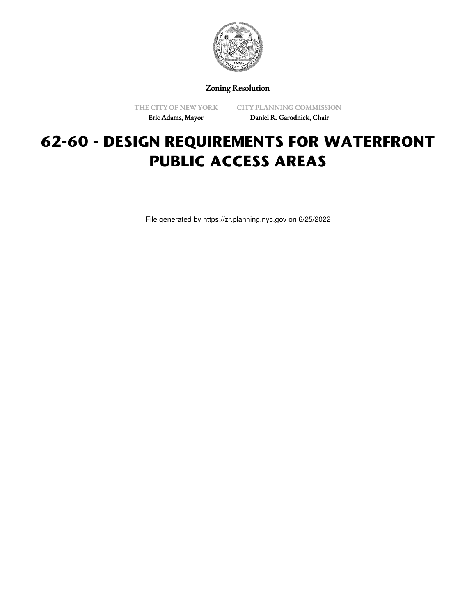

Zoning Resolution

THE CITY OF NEW YORK Eric Adams, Mayor

CITY PLANNING COMMISSION Daniel R. Garodnick, Chair

# **62-60 - DESIGN REQUIREMENTS FOR WATERFRONT PUBLIC ACCESS AREAS**

File generated by https://zr.planning.nyc.gov on 6/25/2022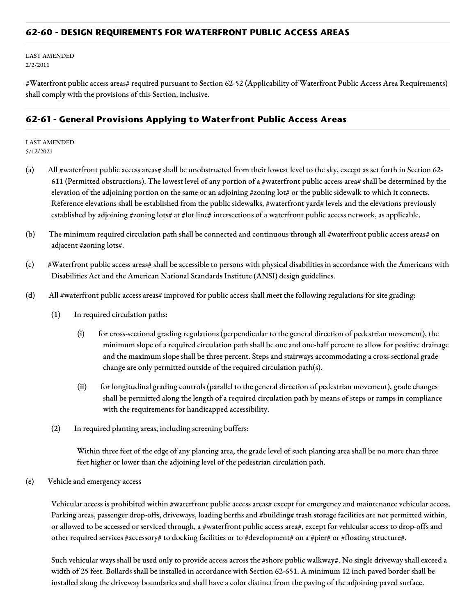## **62-60 - DESIGN REQUIREMENTS FOR WATERFRONT PUBLIC ACCESS AREAS**

LAST AMENDED 2/2/2011

#Waterfront public access areas# required pursuant to Section 62-52 (Applicability of Waterfront Public Access Area Requirements) shall comply with the provisions of this Section, inclusive.

# **62-61 - General Provisions Applying to Waterfront Public Access Areas**

LAST AMENDED 5/12/2021

- (a) All #waterfront public access areas# shall be unobstructed from their lowest level to the sky, except as set forth in Section 62- 611 (Permitted obstructions). The lowest level of any portion of a #waterfront public access area# shall be determined by the elevation of the adjoining portion on the same or an adjoining #zoning lot# or the public sidewalk to which it connects. Reference elevations shall be established from the public sidewalks, #waterfront yard# levels and the elevations previously established by adjoining #zoning lots# at #lot line# intersections of a waterfront public access network, as applicable.
- (b) The minimum required circulation path shall be connected and continuous through all #waterfront public access areas# on adjacent #zoning lots#.
- (c) #Waterfront public access areas# shall be accessible to persons with physical disabilities in accordance with the Americans with Disabilities Act and the American National Standards Institute (ANSI) design guidelines.
- (d) All #waterfront public access areas# improved for public access shall meet the following regulations for site grading:
	- (1) In required circulation paths:
		- (i) for cross-sectional grading regulations (perpendicular to the general direction of pedestrian movement), the minimum slope of a required circulation path shall be one and one-half percent to allow for positive drainage and the maximum slope shall be three percent. Steps and stairways accommodating a cross-sectional grade change are only permitted outside of the required circulation path(s).
		- (ii) for longitudinal grading controls (parallel to the general direction of pedestrian movement), grade changes shall be permitted along the length of a required circulation path by means of steps or ramps in compliance with the requirements for handicapped accessibility.
	- (2) In required planting areas, including screening buffers:

Within three feet of the edge of any planting area, the grade level of such planting area shall be no more than three feet higher or lower than the adjoining level of the pedestrian circulation path.

(e) Vehicle and emergency access

Vehicular access is prohibited within #waterfront public access areas# except for emergency and maintenance vehicular access. Parking areas, passenger drop-offs, driveways, loading berths and #building# trash storage facilities are not permitted within, or allowed to be accessed or serviced through, a #waterfront public access area#, except for vehicular access to drop-offs and other required services #accessory# to docking facilities or to #development# on a #pier# or #floating structure#.

Such vehicular ways shall be used only to provide access across the #shore public walkway#. No single driveway shall exceed a width of 25 feet. Bollards shall be installed in accordance with Section 62-651. A minimum 12 inch paved border shall be installed along the driveway boundaries and shall have a color distinct from the paving of the adjoining paved surface.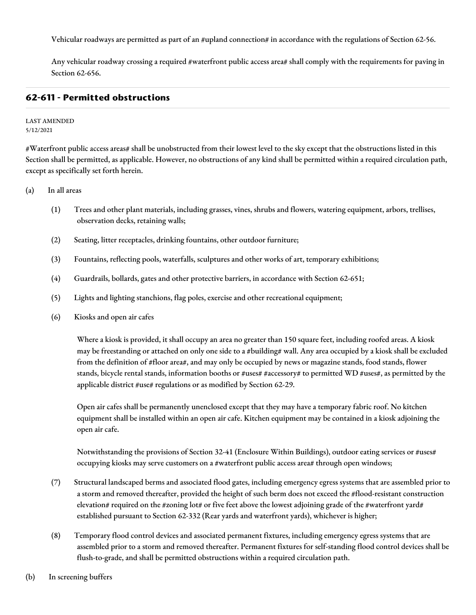Vehicular roadways are permitted as part of an #upland connection# in accordance with the regulations of Section 62-56.

Any vehicular roadway crossing a required #waterfront public access area# shall comply with the requirements for paving in Section 62-656.

## **62-611 - Permitted obstructions**

#### LAST AMENDED 5/12/2021

#Waterfront public access areas# shall be unobstructed from their lowest level to the sky except that the obstructions listed in this Section shall be permitted, as applicable. However, no obstructions of any kind shall be permitted within a required circulation path, except as specifically set forth herein.

#### (a) In all areas

- (1) Trees and other plant materials, including grasses, vines, shrubs and flowers, watering equipment, arbors, trellises, observation decks, retaining walls;
- (2) Seating, litter receptacles, drinking fountains, other outdoor furniture;
- (3) Fountains, reflecting pools, waterfalls, sculptures and other works of art, temporary exhibitions;
- (4) Guardrails, bollards, gates and other protective barriers, in accordance with Section 62-651;
- (5) Lights and lighting stanchions, flag poles, exercise and other recreational equipment;
- (6) Kiosks and open air cafes

Where a kiosk is provided, it shall occupy an area no greater than 150 square feet, including roofed areas. A kiosk may be freestanding or attached on only one side to a #building# wall. Any area occupied by a kiosk shall be excluded from the definition of #floor area#, and may only be occupied by news or magazine stands, food stands, flower stands, bicycle rental stands, information booths or #uses# #accessory# to permitted WD #uses#, as permitted by the applicable district #use# regulations or as modified by Section 62-29.

Open air cafes shall be permanently unenclosed except that they may have a temporary fabric roof. No kitchen equipment shall be installed within an open air cafe. Kitchen equipment may be contained in a kiosk adjoining the open air cafe.

Notwithstanding the provisions of Section 32-41 (Enclosure Within Buildings), outdoor eating services or #uses# occupying kiosks may serve customers on a #waterfront public access area# through open windows;

- (7) Structural landscaped berms and associated flood gates, including emergency egress systems that are assembled prior to a storm and removed thereafter, provided the height of such berm does not exceed the #flood-resistant construction elevation# required on the #zoning lot# or five feet above the lowest adjoining grade of the #waterfront yard# established pursuant to Section 62-332 (Rear yards and waterfront yards), whichever is higher;
- (8) Temporary flood control devices and associated permanent fixtures, including emergency egress systems that are assembled prior to a storm and removed thereafter. Permanent fixtures for self-standing flood control devices shall be flush-to-grade, and shall be permitted obstructions within a required circulation path.
- (b) In screening buffers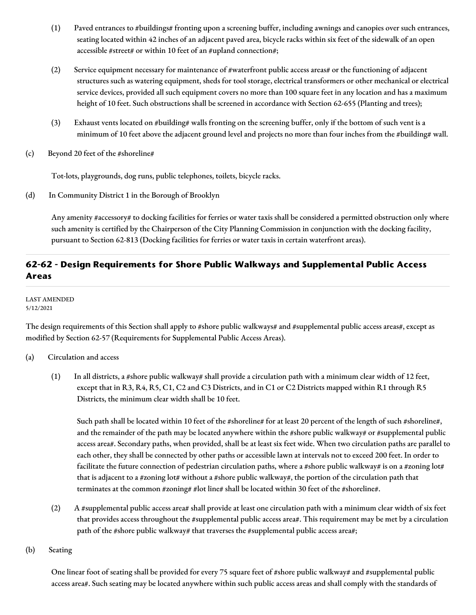- (1) Paved entrances to #buildings# fronting upon a screening buffer, including awnings and canopies over such entrances, seating located within 42 inches of an adjacent paved area, bicycle racks within six feet of the sidewalk of an open accessible #street# or within 10 feet of an #upland connection#;
- (2) Service equipment necessary for maintenance of #waterfront public access areas# or the functioning of adjacent structures such as watering equipment, sheds for tool storage, electrical transformers or other mechanical or electrical service devices, provided all such equipment covers no more than 100 square feet in any location and has a maximum height of 10 feet. Such obstructions shall be screened in accordance with Section 62-655 (Planting and trees);
- (3) Exhaust vents located on #building# walls fronting on the screening buffer, only if the bottom of such vent is a minimum of 10 feet above the adjacent ground level and projects no more than four inches from the #building# wall.
- (c) Beyond 20 feet of the #shoreline#

Tot-lots, playgrounds, dog runs, public telephones, toilets, bicycle racks.

(d) In Community District 1 in the Borough of Brooklyn

Any amenity #accessory# to docking facilities for ferries or water taxis shall be considered a permitted obstruction only where such amenity is certified by the Chairperson of the City Planning Commission in conjunction with the docking facility, pursuant to Section 62-813 (Docking facilities for ferries or water taxis in certain waterfront areas).

# **62-62 - Design Requirements for Shore Public Walkways and Supplemental Public Access Areas**

LAST AMENDED 5/12/2021

The design requirements of this Section shall apply to #shore public walkways# and #supplemental public access areas#, except as modified by Section 62-57 (Requirements for Supplemental Public Access Areas).

- (a) Circulation and access
	- (1) In all districts, a #shore public walkway# shall provide a circulation path with a minimum clear width of 12 feet, except that in R3, R4, R5, C1, C2 and C3 Districts, and in C1 or C2 Districts mapped within R1 through R5 Districts, the minimum clear width shall be 10 feet.

Such path shall be located within 10 feet of the #shoreline# for at least 20 percent of the length of such #shoreline#, and the remainder of the path may be located anywhere within the #shore public walkway# or #supplemental public access area#. Secondary paths, when provided, shall be at least six feet wide. When two circulation paths are parallel to each other, they shall be connected by other paths or accessible lawn at intervals not to exceed 200 feet. In order to facilitate the future connection of pedestrian circulation paths, where a #shore public walkway# is on a #zoning lot# that is adjacent to a #zoning lot# without a #shore public walkway#, the portion of the circulation path that terminates at the common #zoning# #lot line# shall be located within 30 feet of the #shoreline#.

- (2) A #supplemental public access area# shall provide at least one circulation path with a minimum clear width of six feet that provides access throughout the #supplemental public access area#. This requirement may be met by a circulation path of the #shore public walkway# that traverses the #supplemental public access area#;
- (b) Seating

One linear foot of seating shall be provided for every 75 square feet of #shore public walkway# and #supplemental public access area#. Such seating may be located anywhere within such public access areas and shall comply with the standards of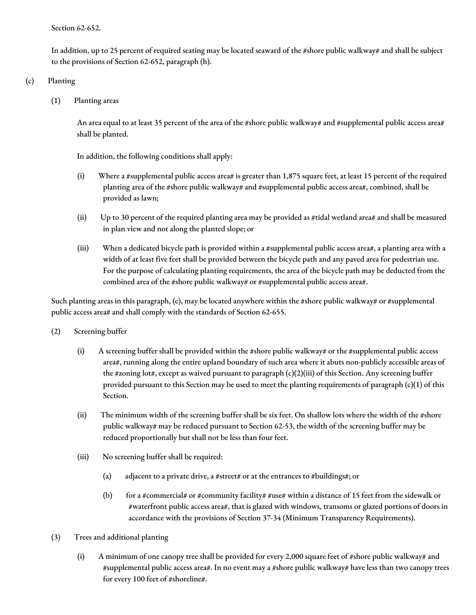Section 62-652.

In addition, up to 25 percent of required seating may be located seaward of the #shore public walkway# and shall be subject to the provisions of Section 62-652, paragraph (h).

## (c) Planting

(1) Planting areas

An area equal to at least 35 percent of the area of the #shore public walkway# and #supplemental public access area# shall be planted.

In addition, the following conditions shall apply:

- (i) Where a #supplemental public access area# is greater than 1,875 square feet, at least 15 percent of the required planting area of the #shore public walkway# and #supplemental public access area#, combined, shall be provided as lawn;
- (ii) Up to 30 percent of the required planting area may be provided as #tidal wetland area# and shall be measured in plan view and not along the planted slope; or
- (iii) When a dedicated bicycle path is provided within a #supplemental public access area#, a planting area with a width of at least five feet shall be provided between the bicycle path and any paved area for pedestrian use. For the purpose of calculating planting requirements, the area of the bicycle path may be deducted from the combined area of the #shore public walkway# or #supplemental public access area#.

Such planting areas in this paragraph, (c), may be located anywhere within the #shore public walkway# or #supplemental public access area# and shall comply with the standards of Section 62-655.

- (2) Screening buffer
	- (i) A screening buffer shall be provided within the #shore public walkway# or the #supplemental public access area#, running along the entire upland boundary of such area where it abuts non-publicly accessible areas of the #zoning lot#, except as waived pursuant to paragraph (c)(2)(iii) of this Section. Any screening buffer provided pursuant to this Section may be used to meet the planting requirements of paragraph  $(c)(1)$  of this Section.
	- (ii) The minimum width of the screening buffer shall be six feet. On shallow lots where the width of the #shore public walkway# may be reduced pursuant to Section 62-53, the width of the screening buffer may be reduced proportionally but shall not be less than four feet.
	- (iii) No screening buffer shall be required:
		- (a) adjacent to a private drive, a #street# or at the entrances to #buildings#; or
		- (b) for a #commercial# or #community facility# #use# within a distance of 15 feet from the sidewalk or #waterfront public access area#, that is glazed with windows, transoms or glazed portions of doors in accordance with the provisions of Section 37-34 (Minimum Transparency Requirements).
- (3) Trees and additional planting
	- (i) A minimum of one canopy tree shall be provided for every 2,000 square feet of #shore public walkway# and #supplemental public access area#. In no event may a #shore public walkway# have less than two canopy trees for every 100 feet of #shoreline#.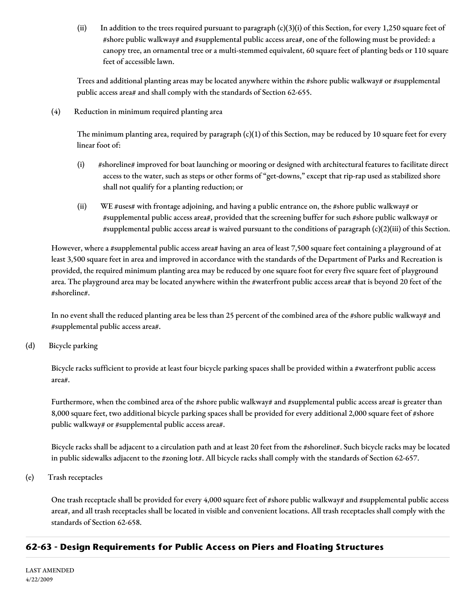(ii) In addition to the trees required pursuant to paragraph  $(c)(3)(i)$  of this Section, for every 1,250 square feet of #shore public walkway# and #supplemental public access area#, one of the following must be provided: a canopy tree, an ornamental tree or a multi-stemmed equivalent, 60 square feet of planting beds or 110 square feet of accessible lawn.

Trees and additional planting areas may be located anywhere within the #shore public walkway# or #supplemental public access area# and shall comply with the standards of Section 62-655.

(4) Reduction in minimum required planting area

The minimum planting area, required by paragraph  $(c)(1)$  of this Section, may be reduced by 10 square feet for every linear foot of:

- (i) #shoreline# improved for boat launching or mooring or designed with architectural features to facilitate direct access to the water, such as steps or other forms of "get-downs," except that rip-rap used as stabilized shore shall not qualify for a planting reduction; or
- (ii) WE #uses# with frontage adjoining, and having a public entrance on, the #shore public walkway# or #supplemental public access area#, provided that the screening buffer for such #shore public walkway# or #supplemental public access area# is waived pursuant to the conditions of paragraph (c)(2)(iii) of this Section.

However, where a #supplemental public access area# having an area of least 7,500 square feet containing a playground of at least 3,500 square feet in area and improved in accordance with the standards of the Department of Parks and Recreation is provided, the required minimum planting area may be reduced by one square foot for every five square feet of playground area. The playground area may be located anywhere within the #waterfront public access area# that is beyond 20 feet of the #shoreline#.

In no event shall the reduced planting area be less than 25 percent of the combined area of the #shore public walkway# and #supplemental public access area#.

(d) Bicycle parking

Bicycle racks sufficient to provide at least four bicycle parking spaces shall be provided within a #waterfront public access area#.

Furthermore, when the combined area of the #shore public walkway# and #supplemental public access area# is greater than 8,000 square feet, two additional bicycle parking spaces shall be provided for every additional 2,000 square feet of #shore public walkway# or #supplemental public access area#.

Bicycle racks shall be adjacent to a circulation path and at least 20 feet from the #shoreline#. Such bicycle racks may be located in public sidewalks adjacent to the #zoning lot#. All bicycle racks shall comply with the standards of Section 62-657.

(e) Trash receptacles

One trash receptacle shall be provided for every 4,000 square feet of #shore public walkway# and #supplemental public access area#, and all trash receptacles shall be located in visible and convenient locations. All trash receptacles shall comply with the standards of Section 62-658.

# **62-63 - Design Requirements for Public Access on Piers and Floating Structures**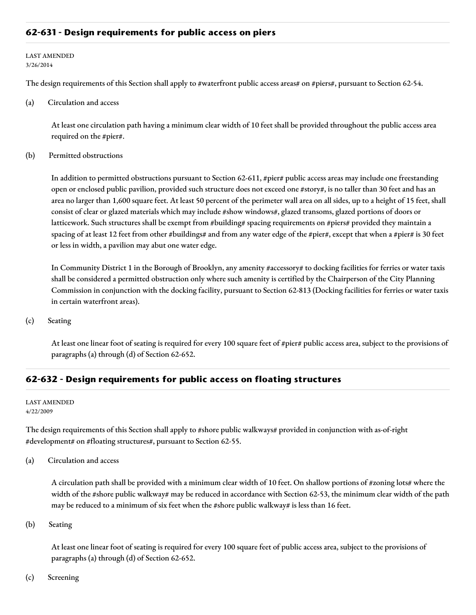## **62-631 - Design requirements for public access on piers**

#### LAST AMENDED 3/26/2014

The design requirements of this Section shall apply to #waterfront public access areas# on #piers#, pursuant to Section 62-54.

(a) Circulation and access

At least one circulation path having a minimum clear width of 10 feet shall be provided throughout the public access area required on the #pier#.

#### (b) Permitted obstructions

In addition to permitted obstructions pursuant to Section 62-611, #pier# public access areas may include one freestanding open or enclosed public pavilion, provided such structure does not exceed one #story#, is no taller than 30 feet and has an area no larger than 1,600 square feet. At least 50 percent of the perimeter wall area on all sides, up to a height of 15 feet, shall consist of clear or glazed materials which may include #show windows#, glazed transoms, glazed portions of doors or latticework. Such structures shall be exempt from #building# spacing requirements on #piers# provided they maintain a spacing of at least 12 feet from other #buildings# and from any water edge of the #pier#, except that when a #pier# is 30 feet or less in width, a pavilion may abut one water edge.

In Community District 1 in the Borough of Brooklyn, any amenity #accessory# to docking facilities for ferries or water taxis shall be considered a permitted obstruction only where such amenity is certified by the Chairperson of the City Planning Commission in conjunction with the docking facility, pursuant to Section 62-813 (Docking facilities for ferries or water taxis in certain waterfront areas).

(c) Seating

At least one linear foot of seating is required for every 100 square feet of #pier# public access area, subject to the provisions of paragraphs (a) through (d) of Section 62-652.

#### **62-632 - Design requirements for public access on floating structures**

#### LAST AMENDED 4/22/2009

The design requirements of this Section shall apply to #shore public walkways# provided in conjunction with as-of-right #development# on #floating structures#, pursuant to Section 62-55.

(a) Circulation and access

A circulation path shall be provided with a minimum clear width of 10 feet. On shallow portions of #zoning lots# where the width of the #shore public walkway# may be reduced in accordance with Section 62-53, the minimum clear width of the path may be reduced to a minimum of six feet when the #shore public walkway# is less than 16 feet.

(b) Seating

At least one linear foot of seating is required for every 100 square feet of public access area, subject to the provisions of paragraphs (a) through (d) of Section 62-652.

(c) Screening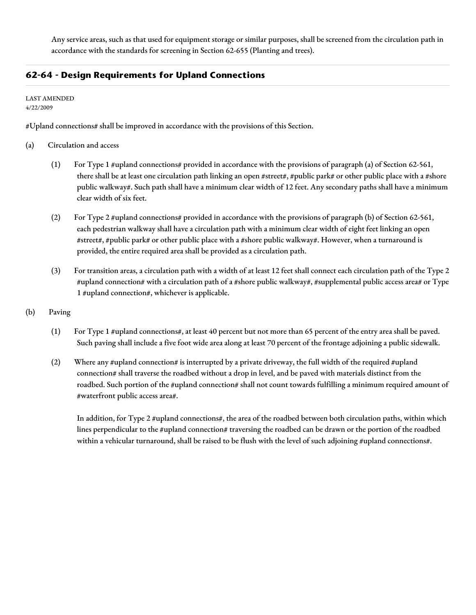Any service areas, such as that used for equipment storage or similar purposes, shall be screened from the circulation path in accordance with the standards for screening in Section 62-655 (Planting and trees).

# **62-64 - Design Requirements for Upland Connections**

LAST AMENDED 4/22/2009

#Upland connections# shall be improved in accordance with the provisions of this Section.

- (a) Circulation and access
	- (1) For Type 1 #upland connections# provided in accordance with the provisions of paragraph (a) of Section 62-561, there shall be at least one circulation path linking an open #street#, #public park# or other public place with a #shore public walkway#. Such path shall have a minimum clear width of 12 feet. Any secondary paths shall have a minimum clear width of six feet.
	- (2) For Type 2 #upland connections# provided in accordance with the provisions of paragraph (b) of Section 62-561, each pedestrian walkway shall have a circulation path with a minimum clear width of eight feet linking an open #street#, #public park# or other public place with a #shore public walkway#. However, when a turnaround is provided, the entire required area shall be provided as a circulation path.
	- (3) For transition areas, a circulation path with a width of at least 12 feet shall connect each circulation path of the Type 2 #upland connection# with a circulation path of a #shore public walkway#, #supplemental public access area# or Type 1 #upland connection#, whichever is applicable.
- (b) Paving
	- (1) For Type 1 #upland connections#, at least 40 percent but not more than 65 percent of the entry area shall be paved. Such paving shall include a five foot wide area along at least 70 percent of the frontage adjoining a public sidewalk.
	- (2) Where any #upland connection# is interrupted by a private driveway, the full width of the required #upland connection# shall traverse the roadbed without a drop in level, and be paved with materials distinct from the roadbed. Such portion of the #upland connection# shall not count towards fulfilling a minimum required amount of #waterfront public access area#.

In addition, for Type 2 #upland connections#, the area of the roadbed between both circulation paths, within which lines perpendicular to the #upland connection# traversing the roadbed can be drawn or the portion of the roadbed within a vehicular turnaround, shall be raised to be flush with the level of such adjoining #upland connections#.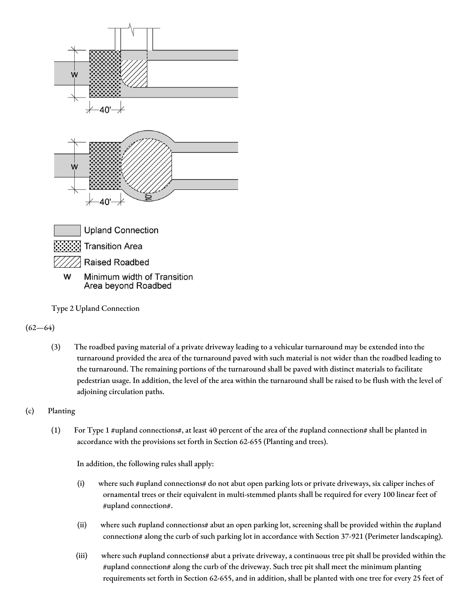

Type 2 Upland Connection

 $(62 - 64)$ 

(3) The roadbed paving material of a private driveway leading to a vehicular turnaround may be extended into the turnaround provided the area of the turnaround paved with such material is not wider than the roadbed leading to the turnaround. The remaining portions of the turnaround shall be paved with distinct materials to facilitate pedestrian usage. In addition, the level of the area within the turnaround shall be raised to be flush with the level of adjoining circulation paths.

# (c) Planting

(1) For Type 1 #upland connections#, at least 40 percent of the area of the #upland connection# shall be planted in accordance with the provisions set forth in Section 62-655 (Planting and trees).

In addition, the following rules shall apply:

- (i) where such #upland connections# do not abut open parking lots or private driveways, six caliper inches of ornamental trees or their equivalent in multi-stemmed plants shall be required for every 100 linear feet of #upland connection#.
- (ii) where such #upland connections# abut an open parking lot, screening shall be provided within the #upland connection# along the curb of such parking lot in accordance with Section 37-921 (Perimeter landscaping).
- (iii) where such #upland connections# abut a private driveway, a continuous tree pit shall be provided within the #upland connection# along the curb of the driveway. Such tree pit shall meet the minimum planting requirements set forth in Section 62-655, and in addition, shall be planted with one tree for every 25 feet of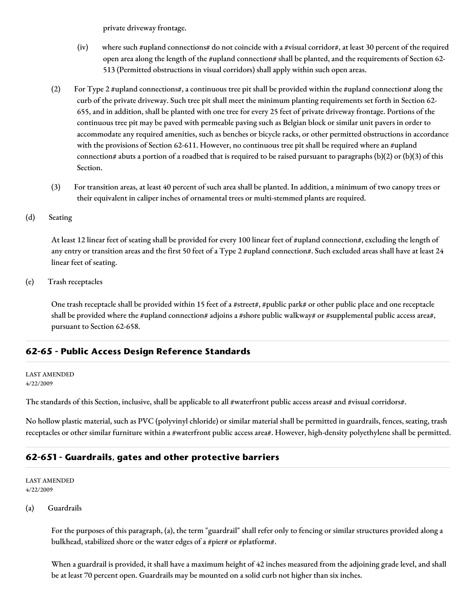private driveway frontage.

- (iv) where such #upland connections# do not coincide with a #visual corridor#, at least 30 percent of the required open area along the length of the #upland connection# shall be planted, and the requirements of Section 62- 513 (Permitted obstructions in visual corridors) shall apply within such open areas.
- (2) For Type 2 #upland connections#, a continuous tree pit shall be provided within the #upland connection# along the curb of the private driveway. Such tree pit shall meet the minimum planting requirements set forth in Section 62- 655, and in addition, shall be planted with one tree for every 25 feet of private driveway frontage. Portions of the continuous tree pit may be paved with permeable paving such as Belgian block or similar unit pavers in order to accommodate any required amenities, such as benches or bicycle racks, or other permitted obstructions in accordance with the provisions of Section 62-611. However, no continuous tree pit shall be required where an #upland connection# abuts a portion of a roadbed that is required to be raised pursuant to paragraphs (b)(2) or (b)(3) of this Section.
- (3) For transition areas, at least 40 percent of such area shall be planted. In addition, a minimum of two canopy trees or their equivalent in caliper inches of ornamental trees or multi-stemmed plants are required.
- (d) Seating

At least 12 linear feet of seating shall be provided for every 100 linear feet of #upland connection#, excluding the length of any entry or transition areas and the first 50 feet of a Type 2 #upland connection#. Such excluded areas shall have at least 24 linear feet of seating.

(e) Trash receptacles

One trash receptacle shall be provided within 15 feet of a #street#, #public park# or other public place and one receptacle shall be provided where the #upland connection# adjoins a #shore public walkway# or #supplemental public access area#, pursuant to Section 62-658.

# **62-65 - Public Access Design Reference Standards**

#### LAST AMENDED 4/22/2009

The standards of this Section, inclusive, shall be applicable to all #waterfront public access areas# and #visual corridors#.

No hollow plastic material, such as PVC (polyvinyl chloride) or similar material shall be permitted in guardrails, fences, seating, trash receptacles or other similar furniture within a #waterfront public access area#. However, high-density polyethylene shall be permitted.

# **62-651 - Guardrails, gates and other protective barriers**

#### LAST AMENDED 4/22/2009

#### (a) Guardrails

For the purposes of this paragraph, (a), the term "guardrail" shall refer only to fencing or similar structures provided along a bulkhead, stabilized shore or the water edges of a #pier# or #platform#.

When a guardrail is provided, it shall have a maximum height of 42 inches measured from the adjoining grade level, and shall be at least 70 percent open. Guardrails may be mounted on a solid curb not higher than six inches.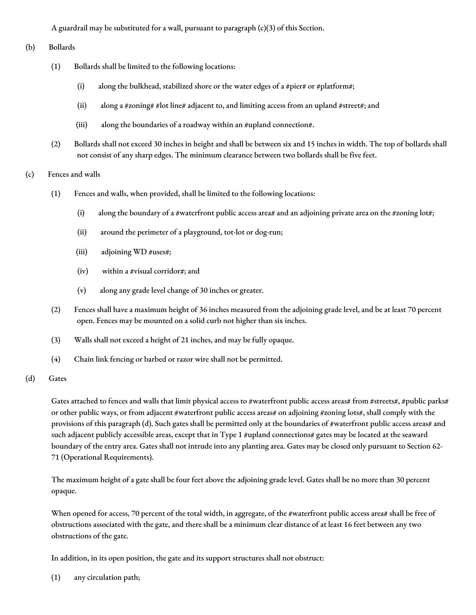A guardrail may be substituted for a wall, pursuant to paragraph  $(c)(3)$  of this Section.

#### (b) Bollards

- (1) Bollards shall be limited to the following locations:
	- (i) along the bulkhead, stabilized shore or the water edges of a #pier# or #platform#;
	- (ii) along a #zoning# #lot line# adjacent to, and limiting access from an upland #street#; and
	- (iii) along the boundaries of a roadway within an #upland connection#.
- (2) Bollards shall not exceed 30 inches in height and shall be between six and 15 inches in width. The top of bollards shall not consist of any sharp edges. The minimum clearance between two bollards shall be five feet.
- (c) Fences and walls
	- (1) Fences and walls, when provided, shall be limited to the following locations:
		- (i) along the boundary of a #waterfront public access area# and an adjoining private area on the #zoning lot#;
		- (ii) around the perimeter of a playground, tot-lot or dog-run;
		- (iii) adjoining WD #uses#;
		- (iv) within a #visual corridor#; and
		- (v) along any grade level change of 30 inches or greater.
	- (2) Fences shall have a maximum height of 36 inches measured from the adjoining grade level, and be at least 70 percent open. Fences may be mounted on a solid curb not higher than six inches.
	- (3) Walls shall not exceed a height of 21 inches, and may be fully opaque.
	- (4) Chain link fencing or barbed or razor wire shall not be permitted.
- (d) Gates

Gates attached to fences and walls that limit physical access to #waterfront public access areas# from #streets#, #public parks# or other public ways, or from adjacent #waterfront public access areas# on adjoining #zoning lots#, shall comply with the provisions of this paragraph (d). Such gates shall be permitted only at the boundaries of #waterfront public access areas# and such adjacent publicly accessible areas, except that in Type 1 #upland connections# gates may be located at the seaward boundary of the entry area. Gates shall not intrude into any planting area. Gates may be closed only pursuant to Section 62- 71 (Operational Requirements).

The maximum height of a gate shall be four feet above the adjoining grade level. Gates shall be no more than 30 percent opaque.

When opened for access, 70 percent of the total width, in aggregate, of the #waterfront public access area# shall be free of obstructions associated with the gate, and there shall be a minimum clear distance of at least 16 feet between any two obstructions of the gate.

In addition, in its open position, the gate and its support structures shall not obstruct:

(1) any circulation path;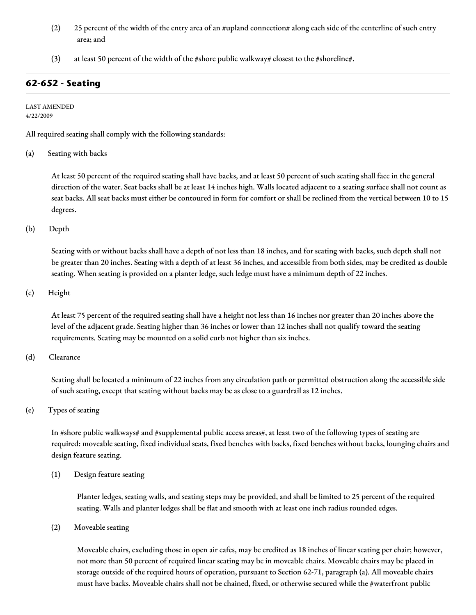- (2) 25 percent of the width of the entry area of an #upland connection# along each side of the centerline of such entry area; and
- (3) at least 50 percent of the width of the #shore public walkway# closest to the #shoreline#.

# **62-652 - Seating**

LAST AMENDED 4/22/2009

All required seating shall comply with the following standards:

(a) Seating with backs

At least 50 percent of the required seating shall have backs, and at least 50 percent of such seating shall face in the general direction of the water. Seat backs shall be at least 14 inches high. Walls located adjacent to a seating surface shall not count as seat backs. All seat backs must either be contoured in form for comfort or shall be reclined from the vertical between 10 to 15 degrees.

(b) Depth

Seating with or without backs shall have a depth of not less than 18 inches, and for seating with backs, such depth shall not be greater than 20 inches. Seating with a depth of at least 36 inches, and accessible from both sides, may be credited as double seating. When seating is provided on a planter ledge, such ledge must have a minimum depth of 22 inches.

(c) Height

At least 75 percent of the required seating shall have a height not less than 16 inches nor greater than 20 inches above the level of the adjacent grade. Seating higher than 36 inches or lower than 12 inches shall not qualify toward the seating requirements. Seating may be mounted on a solid curb not higher than six inches.

(d) Clearance

Seating shall be located a minimum of 22 inches from any circulation path or permitted obstruction along the accessible side of such seating, except that seating without backs may be as close to a guardrail as 12 inches.

(e) Types of seating

In #shore public walkways# and #supplemental public access areas#, at least two of the following types of seating are required: moveable seating, fixed individual seats, fixed benches with backs, fixed benches without backs, lounging chairs and design feature seating.

(1) Design feature seating

Planter ledges, seating walls, and seating steps may be provided, and shall be limited to 25 percent of the required seating. Walls and planter ledges shall be flat and smooth with at least one inch radius rounded edges.

(2) Moveable seating

Moveable chairs, excluding those in open air cafes, may be credited as 18 inches of linear seating per chair; however, not more than 50 percent of required linear seating may be in moveable chairs. Moveable chairs may be placed in storage outside of the required hours of operation, pursuant to Section 62-71, paragraph (a). All moveable chairs must have backs. Moveable chairs shall not be chained, fixed, or otherwise secured while the #waterfront public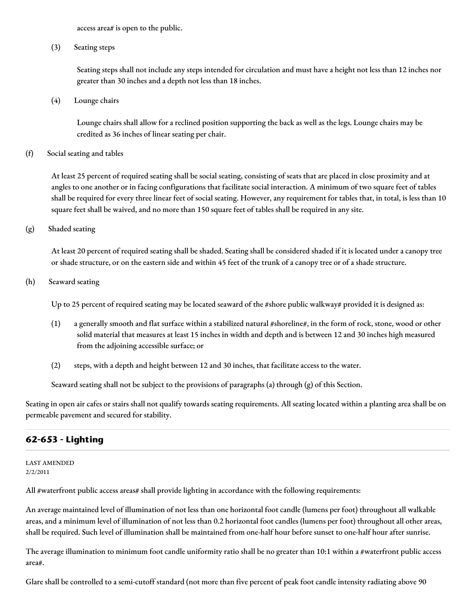access area# is open to the public.

(3) Seating steps

Seating steps shall not include any steps intended for circulation and must have a height not less than 12 inches nor greater than 30 inches and a depth not less than 18 inches.

(4) Lounge chairs

Lounge chairs shall allow for a reclined position supporting the back as well as the legs. Lounge chairs may be credited as 36 inches of linear seating per chair.

(f) Social seating and tables

At least 25 percent of required seating shall be social seating, consisting of seats that are placed in close proximity and at angles to one another or in facing configurations that facilitate social interaction. A minimum of two square feet of tables shall be required for every three linear feet of social seating. However, any requirement for tables that, in total, is less than 10 square feet shall be waived, and no more than 150 square feet of tables shall be required in any site.

(g) Shaded seating

At least 20 percent of required seating shall be shaded. Seating shall be considered shaded if it is located under a canopy tree or shade structure, or on the eastern side and within 45 feet of the trunk of a canopy tree or of a shade structure.

(h) Seaward seating

Up to 25 percent of required seating may be located seaward of the #shore public walkway# provided it is designed as:

- (1) a generally smooth and flat surface within a stabilized natural #shoreline#, in the form of rock, stone, wood or other solid material that measures at least 15 inches in width and depth and is between 12 and 30 inches high measured from the adjoining accessible surface; or
- (2) steps, with a depth and height between 12 and 30 inches, that facilitate access to the water.

Seaward seating shall not be subject to the provisions of paragraphs (a) through (g) of this Section.

Seating in open air cafes or stairs shall not qualify towards seating requirements. All seating located within a planting area shall be on permeable pavement and secured for stability.

# **62-653 - Lighting**

LAST AMENDED 2/2/2011

All #waterfront public access areas# shall provide lighting in accordance with the following requirements:

An average maintained level of illumination of not less than one horizontal foot candle (lumens per foot) throughout all walkable areas, and a minimum level of illumination of not less than 0.2 horizontal foot candles (lumens per foot) throughout all other areas, shall be required. Such level of illumination shall be maintained from one-half hour before sunset to one-half hour after sunrise.

The average illumination to minimum foot candle uniformity ratio shall be no greater than  $10:1$  within a #waterfront public access area#.

Glare shall be controlled to a semi-cutoff standard (not more than five percent of peak foot candle intensity radiating above 90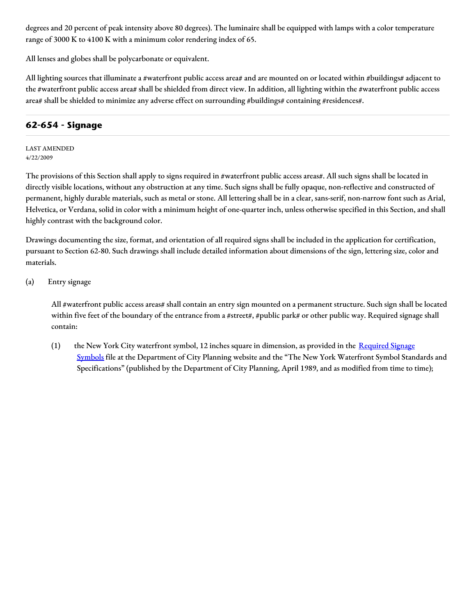degrees and 20 percent of peak intensity above 80 degrees). The luminaire shall be equipped with lamps with a color temperature range of 3000 K to 4100 K with a minimum color rendering index of 65.

All lenses and globes shall be polycarbonate or equivalent.

All lighting sources that illuminate a #waterfront public access area# and are mounted on or located within #buildings# adjacent to the #waterfront public access area# shall be shielded from direct view. In addition, all lighting within the #waterfront public access area# shall be shielded to minimize any adverse effect on surrounding #buildings# containing #residences#.

# **62-654 - Signage**

LAST AMENDED 4/22/2009

The provisions of this Section shall apply to signs required in #waterfront public access areas#. All such signs shall be located in directly visible locations, without any obstruction at any time. Such signs shall be fully opaque, non-reflective and constructed of permanent, highly durable materials, such as metal or stone. All lettering shall be in a clear, sans-serif, non-narrow font such as Arial, Helvetica, or Verdana, solid in color with a minimum height of one-quarter inch, unless otherwise specified in this Section, and shall highly contrast with the background color.

Drawings documenting the size, format, and orientation of all required signs shall be included in the application for certification, pursuant to Section 62-80. Such drawings shall include detailed information about dimensions of the sign, lettering size, color and materials.

(a) Entry signage

All #waterfront public access areas# shall contain an entry sign mounted on a permanent structure. Such sign shall be located within five feet of the boundary of the entrance from a #street#, #public park# or other public way. Required signage shall contain:

(1) the New York City waterfront symbol, 12 inches square in dimension, as provided in the Required Signage Symbols file at the [Department](http://www1.nyc.gov/site/planning/zoning/graphic-files.page) of City Planning website and the "The New York Waterfront Symbol Standards and Specifications" (published by the Department of City Planning, April 1989, and as modified from time to time);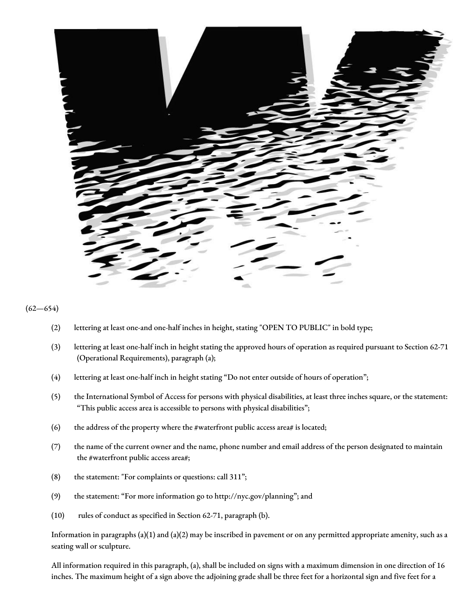

#### $(62 - 654)$

- (2) lettering at least one-and one-half inches in height, stating "OPEN TO PUBLIC" in bold type;
- (3) lettering at least one-half inch in height stating the approved hours of operation as required pursuant to Section 62-71 (Operational Requirements), paragraph (a);
- (4) lettering at least one-half inch in height stating "Do not enter outside of hours of operation";
- (5) the International Symbol of Access for persons with physical disabilities, at least three inches square, or the statement: "This public access area is accessible to persons with physical disabilities";
- (6) the address of the property where the #waterfront public access area# is located;
- (7) the name of the current owner and the name, phone number and email address of the person designated to maintain the #waterfront public access area#;
- (8) the statement: "For complaints or questions: call 311";
- (9) the statement: "For more information go to http://nyc.gov/planning"; and
- (10) rules of conduct as specified in Section 62-71, paragraph (b).

Information in paragraphs (a)(1) and (a)(2) may be inscribed in pavement or on any permitted appropriate amenity, such as a seating wall or sculpture.

All information required in this paragraph, (a), shall be included on signs with a maximum dimension in one direction of 16 inches. The maximum height of a sign above the adjoining grade shall be three feet for a horizontal sign and five feet for a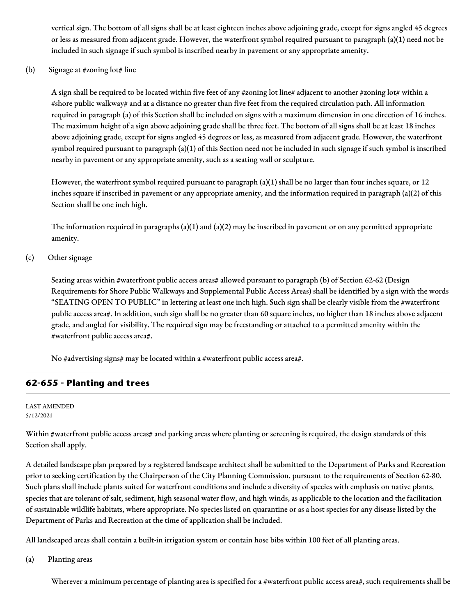vertical sign. The bottom of all signs shall be at least eighteen inches above adjoining grade, except for signs angled 45 degrees or less as measured from adjacent grade. However, the waterfront symbol required pursuant to paragraph (a)(1) need not be included in such signage if such symbol is inscribed nearby in pavement or any appropriate amenity.

(b) Signage at #zoning  $\text{lot# line}$ 

A sign shall be required to be located within five feet of any #zoning lot line# adjacent to another #zoning lot# within a #shore public walkway# and at a distance no greater than five feet from the required circulation path. All information required in paragraph (a) of this Section shall be included on signs with a maximum dimension in one direction of 16 inches. The maximum height of a sign above adjoining grade shall be three feet. The bottom of all signs shall be at least 18 inches above adjoining grade, except for signs angled 45 degrees or less, as measured from adjacent grade. However, the waterfront symbol required pursuant to paragraph (a)(1) of this Section need not be included in such signage if such symbol is inscribed nearby in pavement or any appropriate amenity, such as a seating wall or sculpture.

However, the waterfront symbol required pursuant to paragraph (a)(1) shall be no larger than four inches square, or 12 inches square if inscribed in pavement or any appropriate amenity, and the information required in paragraph (a)(2) of this Section shall be one inch high.

The information required in paragraphs (a)(1) and (a)(2) may be inscribed in pavement or on any permitted appropriate amenity.

(c) Other signage

Seating areas within #waterfront public access areas# allowed pursuant to paragraph (b) of Section 62-62 (Design Requirements for Shore Public Walkways and Supplemental Public Access Areas) shall be identified by a sign with the words "SEATING OPEN TO PUBLIC" in lettering at least one inch high. Such sign shall be clearly visible from the #waterfront public access area#. In addition, such sign shall be no greater than 60 square inches, no higher than 18 inches above adjacent grade, and angled for visibility. The required sign may be freestanding or attached to a permitted amenity within the #waterfront public access area#.

No #advertising signs# may be located within a #waterfront public access area#.

# **62-655 - Planting and trees**

LAST AMENDED 5/12/2021

Within #waterfront public access areas# and parking areas where planting or screening is required, the design standards of this Section shall apply.

A detailed landscape plan prepared by a registered landscape architect shall be submitted to the Department of Parks and Recreation prior to seeking certification by the Chairperson of the City Planning Commission, pursuant to the requirements of Section 62-80. Such plans shall include plants suited for waterfront conditions and include a diversity of species with emphasis on native plants, species that are tolerant of salt, sediment, high seasonal water flow, and high winds, as applicable to the location and the facilitation of sustainable wildlife habitats, where appropriate. No species listed on quarantine or as a host species for any disease listed by the Department of Parks and Recreation at the time of application shall be included.

All landscaped areas shall contain a built-in irrigation system or contain hose bibs within 100 feet of all planting areas.

(a) Planting areas

Wherever a minimum percentage of planting area is specified for a #waterfront public access area#, such requirements shall be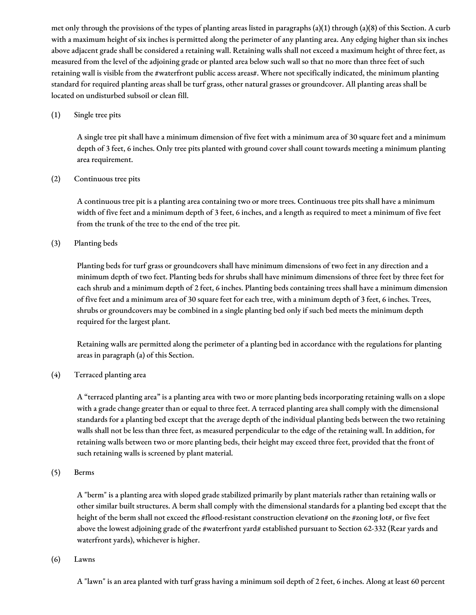met only through the provisions of the types of planting areas listed in paragraphs (a)(1) through (a)(8) of this Section. A curb with a maximum height of six inches is permitted along the perimeter of any planting area. Any edging higher than six inches above adjacent grade shall be considered a retaining wall. Retaining walls shall not exceed a maximum height of three feet, as measured from the level of the adjoining grade or planted area below such wall so that no more than three feet of such retaining wall is visible from the #waterfront public access areas#. Where not specifically indicated, the minimum planting standard for required planting areas shall be turf grass, other natural grasses or groundcover. All planting areas shall be located on undisturbed subsoil or clean fill.

#### (1) Single tree pits

A single tree pit shall have a minimum dimension of five feet with a minimum area of 30 square feet and a minimum depth of 3 feet, 6 inches. Only tree pits planted with ground cover shall count towards meeting a minimum planting area requirement.

## (2) Continuous tree pits

A continuous tree pit is a planting area containing two or more trees. Continuous tree pits shall have a minimum width of five feet and a minimum depth of 3 feet, 6 inches, and a length as required to meet a minimum of five feet from the trunk of the tree to the end of the tree pit.

## (3) Planting beds

Planting beds for turf grass or groundcovers shall have minimum dimensions of two feet in any direction and a minimum depth of two feet. Planting beds for shrubs shall have minimum dimensions of three feet by three feet for each shrub and a minimum depth of 2 feet, 6 inches. Planting beds containing trees shall have a minimum dimension of five feet and a minimum area of 30 square feet for each tree, with a minimum depth of 3 feet, 6 inches. Trees, shrubs or groundcovers may be combined in a single planting bed only if such bed meets the minimum depth required for the largest plant.

Retaining walls are permitted along the perimeter of a planting bed in accordance with the regulations for planting areas in paragraph (a) of this Section.

## (4) Terraced planting area

A "terraced planting area" is a planting area with two or more planting beds incorporating retaining walls on a slope with a grade change greater than or equal to three feet. A terraced planting area shall comply with the dimensional standards for a planting bed except that the average depth of the individual planting beds between the two retaining walls shall not be less than three feet, as measured perpendicular to the edge of the retaining wall. In addition, for retaining walls between two or more planting beds, their height may exceed three feet, provided that the front of such retaining walls is screened by plant material.

#### (5) Berms

A "berm" is a planting area with sloped grade stabilized primarily by plant materials rather than retaining walls or other similar built structures. A berm shall comply with the dimensional standards for a planting bed except that the height of the berm shall not exceed the #flood-resistant construction elevation# on the #zoning lot#, or five feet above the lowest adjoining grade of the #waterfront yard# established pursuant to Section 62-332 (Rear yards and waterfront yards), whichever is higher.

#### (6) Lawns

A "lawn" is an area planted with turf grass having a minimum soil depth of 2 feet, 6 inches. Along at least 60 percent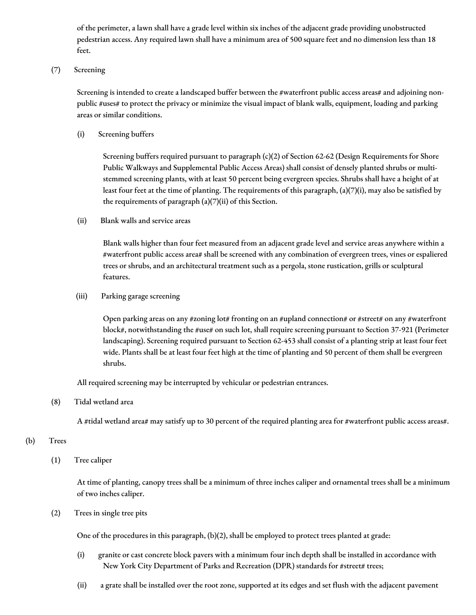of the perimeter, a lawn shall have a grade level within six inches of the adjacent grade providing unobstructed pedestrian access. Any required lawn shall have a minimum area of 500 square feet and no dimension less than 18 feet.

#### (7) Screening

Screening is intended to create a landscaped buffer between the #waterfront public access areas# and adjoining nonpublic #uses# to protect the privacy or minimize the visual impact of blank walls, equipment, loading and parking areas or similar conditions.

(i) Screening buffers

Screening buffers required pursuant to paragraph (c)(2) of Section 62-62 (Design Requirements for Shore Public Walkways and Supplemental Public Access Areas) shall consist of densely planted shrubs or multistemmed screening plants, with at least 50 percent being evergreen species. Shrubs shall have a height of at least four feet at the time of planting. The requirements of this paragraph, (a)(7)(i), may also be satisfied by the requirements of paragraph  $(a)(7)(ii)$  of this Section.

(ii) Blank walls and service areas

Blank walls higher than four feet measured from an adjacent grade level and service areas anywhere within a #waterfront public access area# shall be screened with any combination of evergreen trees, vines or espaliered trees or shrubs, and an architectural treatment such as a pergola, stone rustication, grills or sculptural features.

(iii) Parking garage screening

Open parking areas on any #zoning lot# fronting on an #upland connection# or #street# on any #waterfront block#, notwithstanding the #use# on such lot, shall require screening pursuant to Section 37-921 (Perimeter landscaping). Screening required pursuant to Section 62-453 shall consist of a planting strip at least four feet wide. Plants shall be at least four feet high at the time of planting and 50 percent of them shall be evergreen shrubs.

All required screening may be interrupted by vehicular or pedestrian entrances.

(8) Tidal wetland area

A #tidal wetland area# may satisfy up to 30 percent of the required planting area for #waterfront public access areas#.

# (b) Trees

(1) Tree caliper

At time of planting, canopy trees shall be a minimum of three inches caliper and ornamental trees shall be a minimum of two inches caliper.

(2) Trees in single tree pits

One of the procedures in this paragraph, (b)(2), shall be employed to protect trees planted at grade:

- (i) granite or cast concrete block pavers with a minimum four inch depth shall be installed in accordance with New York City Department of Parks and Recreation (DPR) standards for #street# trees;
- (ii) a grate shall be installed over the root zone, supported at its edges and set flush with the adjacent pavement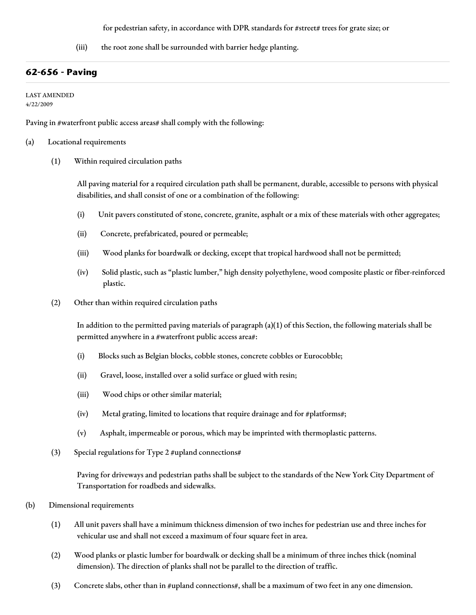for pedestrian safety, in accordance with DPR standards for #street# trees for grate size; or

(iii) the root zone shall be surrounded with barrier hedge planting.

# **62-656 - Paving**

LAST AMENDED

4/22/2009

Paving in #waterfront public access areas# shall comply with the following:

(a) Locational requirements

(1) Within required circulation paths

All paving material for a required circulation path shall be permanent, durable, accessible to persons with physical disabilities, and shall consist of one or a combination of the following:

- (i) Unit pavers constituted of stone, concrete, granite, asphalt or a mix of these materials with other aggregates;
- (ii) Concrete, prefabricated, poured or permeable;
- (iii) Wood planks for boardwalk or decking, except that tropical hardwood shall not be permitted;
- (iv) Solid plastic, such as "plastic lumber," high density polyethylene, wood composite plastic or fiber-reinforced plastic.
- (2) Other than within required circulation paths

In addition to the permitted paving materials of paragraph (a)(1) of this Section, the following materials shall be permitted anywhere in a #waterfront public access area#:

- (i) Blocks such as Belgian blocks, cobble stones, concrete cobbles or Eurocobble;
- (ii) Gravel, loose, installed over a solid surface or glued with resin;
- (iii) Wood chips or other similar material;
- (iv) Metal grating, limited to locations that require drainage and for #platforms#;
- (v) Asphalt, impermeable or porous, which may be imprinted with thermoplastic patterns.
- (3) Special regulations for Type 2 #upland connections#

Paving for driveways and pedestrian paths shall be subject to the standards of the New York City Department of Transportation for roadbeds and sidewalks.

- (b) Dimensional requirements
	- (1) All unit pavers shall have a minimum thickness dimension of two inches for pedestrian use and three inches for vehicular use and shall not exceed a maximum of four square feet in area.
	- (2) Wood planks or plastic lumber for boardwalk or decking shall be a minimum of three inches thick (nominal dimension). The direction of planks shall not be parallel to the direction of traffic.
	- (3) Concrete slabs, other than in #upland connections#, shall be a maximum of two feet in any one dimension.